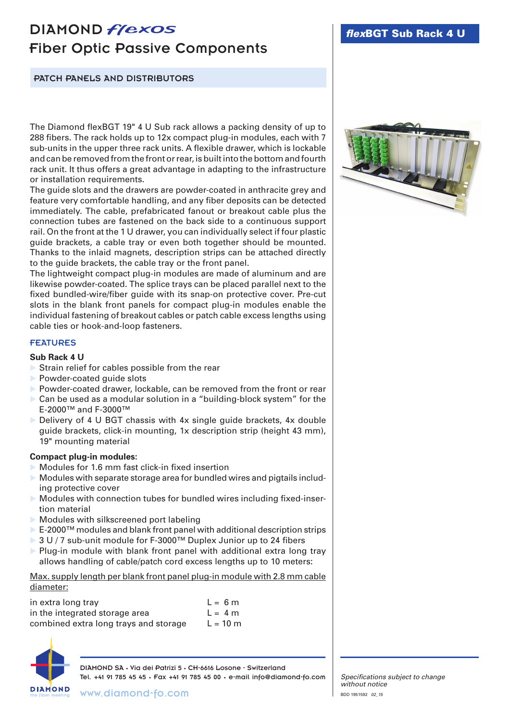# DIAMOND *flexos* Fiber Optic Passive Components

## PATCH PANELS AND DISTRIBUTORS

The Diamond flexBGT 19" 4 U Sub rack allows a packing density of up to 288 fibers. The rack holds up to 12x compact plug-in modules, each with 7 sub-units in the upper three rack units. A flexible drawer, which is lockable and can be removed from the front or rear, is built into the bottom and fourth rack unit. It thus offers a great advantage in adapting to the infrastructure or installation requirements.

The guide slots and the drawers are powder-coated in anthracite grey and feature very comfortable handling, and any fiber deposits can be detected immediately. The cable, prefabricated fanout or breakout cable plus the connection tubes are fastened on the back side to a continuous support rail. On the front at the 1 U drawer, you can individually select if four plastic guide brackets, a cable tray or even both together should be mounted. Thanks to the inlaid magnets, description strips can be attached directly to the guide brackets, the cable tray or the front panel.

The lightweight compact plug-in modules are made of aluminum and are likewise powder-coated. The splice trays can be placed parallel next to the fixed bundled-wire/fiber guide with its snap-on protective cover. Pre-cut slots in the blank front panels for compact plug-in modules enable the individual fastening of breakout cables or patch cable excess lengths using cable ties or hook-and-loop fasteners.

#### FEATURES

#### **Sub Rack 4 U**

- Strain relief for cables possible from the rear
- Powder-coated guide slots
- Powder-coated drawer, lockable, can be removed from the front or rear
- ▶ Can be used as a modular solution in a "building-block system" for the E-2000™ and F-3000™
- $\triangleright$  Delivery of 4 U BGT chassis with 4x single guide brackets, 4x double guide brackets, click-in mounting, 1x description strip (height 43 mm), 19" mounting material

### **Compact plug-in modules:**

- Modules for 1.6 mm fast click-in fixed insertion
- $\triangleright$  Modules with separate storage area for bundled wires and pigtails including protective cover
- Modules with connection tubes for bundled wires including fixed-insertion material
- Modules with silkscreened port labeling
- ► E-2000™ modules and blank front panel with additional description strips
- 3 U / 7 sub-unit module for F-3000™ Duplex Junior up to 24 fibers
- $\triangleright$  Plug-in module with blank front panel with additional extra long tray allows handling of cable/patch cord excess lengths up to 10 meters:

Max. supply length per blank front panel plug-in module with 2.8 mm cable diameter:

| in extra long tray                    | $L = 6m$   |
|---------------------------------------|------------|
| in the integrated storage area        | $L = 4 m$  |
| combined extra long trays and storage | $L = 10$ m |



DIAMOND SA • Via dei Patrizi 5 • CH-6616 Losone - Switzerland Tel. +41 91 785 45 45 • Fax +41 91 785 45 00 • e-mail info@diamond-fo.com



*Specifications subject to change without notice* BDD 1951592 *02\_15*